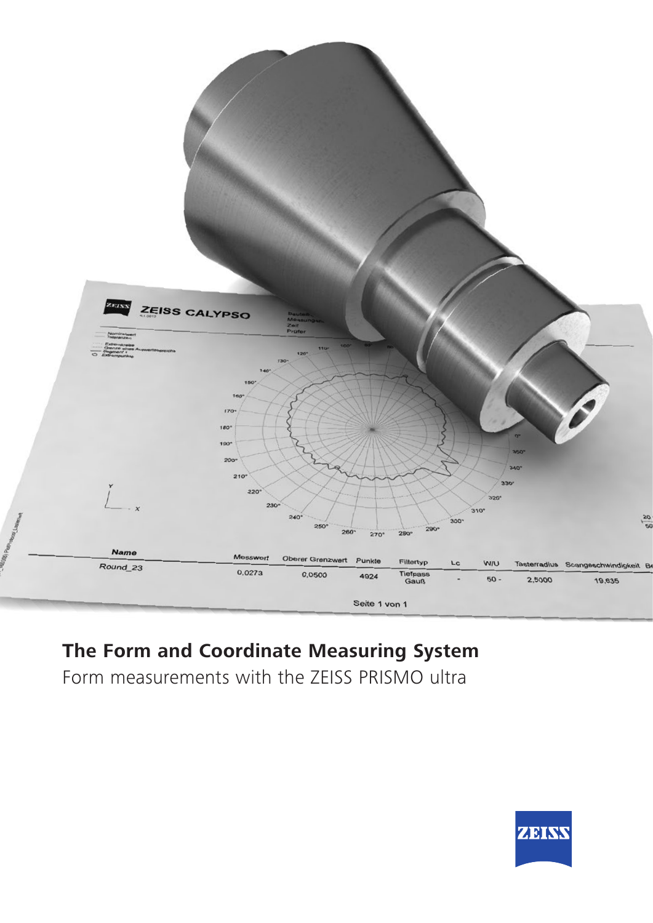

# **The Form and Coordinate Measuring System**

Form measurements with the ZEISS PRISMO ultra

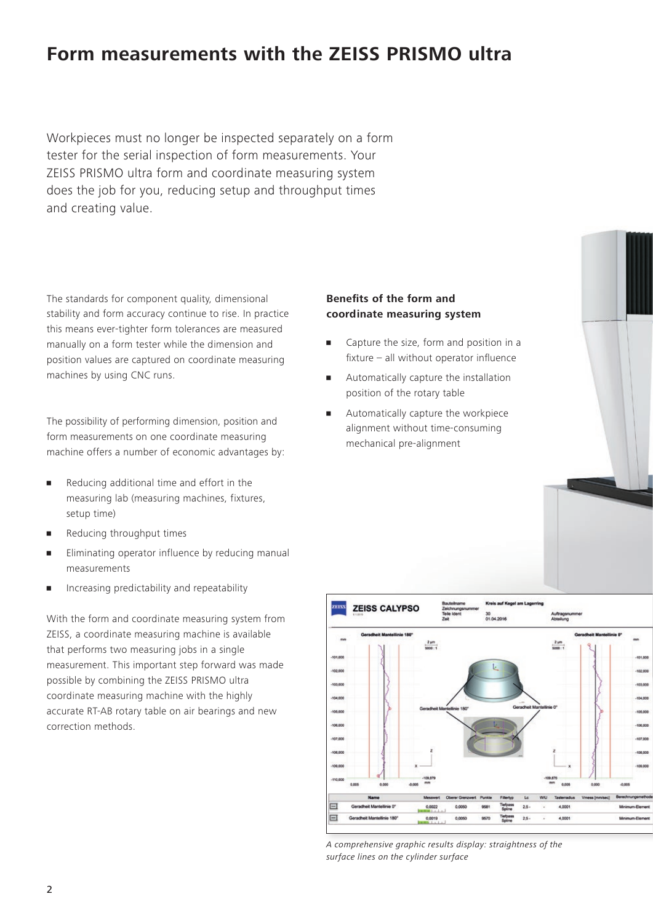# **Form measurements with the ZEISS PRISMO ultra**

Workpieces must no longer be inspected separately on a form tester for the serial inspection of form measurements. Your ZEISS PRISMO ultra form and coordinate measuring system does the job for you, reducing setup and throughput times and creating value.

The standards for component quality, dimensional stability and form accuracy continue to rise. In practice this means ever-tighter form tolerances are measured manually on a form tester while the dimension and position values are captured on coordinate measuring machines by using CNC runs.

The possibility of performing dimension, position and form measurements on one coordinate measuring machine offers a number of economic advantages by:

- **•** Reducing additional time and effort in the measuring lab (measuring machines, fixtures, setup time)
- **•** Reducing throughput times
- **Eliminating operator influence by reducing manual** measurements
- Increasing predictability and repeatability

With the form and coordinate measuring system from ZEISS, a coordinate measuring machine is available that performs two measuring jobs in a single measurement. This important step forward was made possible by combining the ZEISS PRISMO ultra coordinate measuring machine with the highly accurate RT-AB rotary table on air bearings and new correction methods.

# **Benefits of the form and coordinate measuring system**

- Capture the size, form and position in a fixture – all without operator influence
- **•** Automatically capture the installation position of the rotary table
- **Automatically capture the workpiece** alignment without time-consuming mechanical pre-alignment



*A comprehensive graphic results display: straightness of the surface lines on the cylinder surface*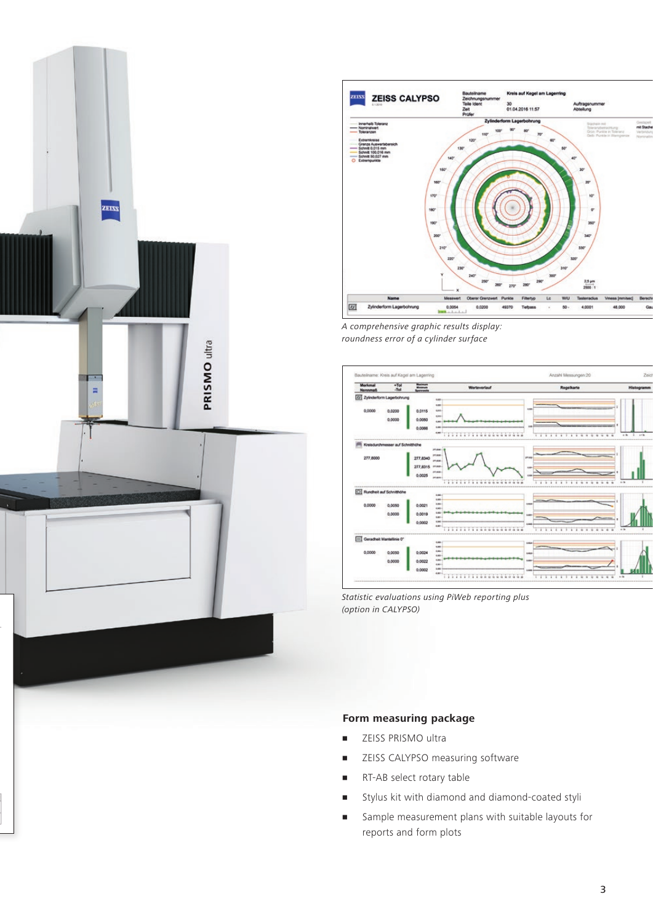



*A comprehensive graphic results display: roundness error of a cylinder surface*



*Statistic evaluations using PiWeb reporting plus (option in CALYPSO)* 

## **Form measuring package**

- **Example 25 PRISMO** ultra
- **EXECUSE CALYPSO measuring software**
- **RT-AB select rotary table**
- Stylus kit with diamond and diamond-coated styli
- Sample measurement plans with suitable layouts for reports and form plots